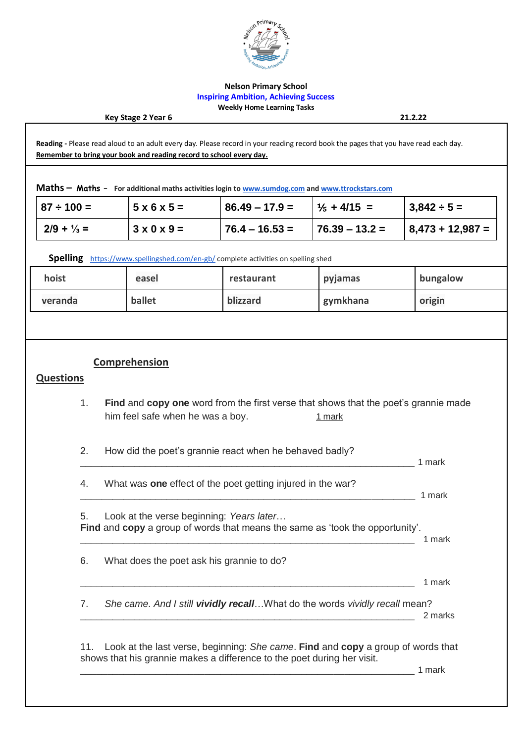

### **Nelson Primary School Inspiring Ambition, Achieving Success Weekly Home Learning Tasks**

#### **Key Stage 2 Year 6 21.2.22**

**Reading -** Please read aloud to an adult every day. Please record in your reading record book the pages that you have read each day. **Remember to bring your book and reading record to school every day.**

**Maths – Maths – For additional maths activities login t[o www.sumdog.com](http://www.sumdog.com/) an[d www.ttrockstars.com](http://www.ttrockstars.com/)**

| $ 87 \div 100 =$      | $15 \times 6 \times 5 =$ | $86.49 - 17.9 =$ | $1\frac{1}{5}$ + 4/15 = | $3,842 \div 5 =$     |
|-----------------------|--------------------------|------------------|-------------------------|----------------------|
| $2/9 + \frac{1}{3} =$ | $3 \times 0 \times 9 =$  | $76.4 - 16.53 =$ | $176.39 - 13.2 =$       | $  8,473 + 12,987 =$ |

**Spelling** <https://www.spellingshed.com/en-gb/> complete activities on spelling shed

| hoist   | easel  | restaurant | pyjamas  | bungalow |
|---------|--------|------------|----------|----------|
| veranda | ballet | blizzard   | gymkhana | origin   |

## **Comprehension**

## **Questions**

- 1. **Find** and **copy one** word from the first verse that shows that the poet's grannie made him feel safe when he was a boy.  $1 \text{ mark}$
- 2. How did the poet's grannie react when he behaved badly?
- 4. What was **one** effect of the poet getting injured in the war?
- \_\_\_\_\_\_\_\_\_\_\_\_\_\_\_\_\_\_\_\_\_\_\_\_\_\_\_\_\_\_\_\_\_\_\_\_\_\_\_\_\_\_\_\_\_\_\_\_\_\_\_\_\_\_\_\_\_\_\_\_\_\_ 1 mark

5. Look at the verse beginning: *Years later*… **Find** and **copy** a group of words that means the same as 'took the opportunity'. \_\_\_\_\_\_\_\_\_\_\_\_\_\_\_\_\_\_\_\_\_\_\_\_\_\_\_\_\_\_\_\_\_\_\_\_\_\_\_\_\_\_\_\_\_\_\_\_\_\_\_\_\_\_\_\_\_\_\_\_\_\_ 1 mark

- 6. What does the poet ask his grannie to do?
- \_\_\_\_\_\_\_\_\_\_\_\_\_\_\_\_\_\_\_\_\_\_\_\_\_\_\_\_\_\_\_\_\_\_\_\_\_\_\_\_\_\_\_\_\_\_\_\_\_\_\_\_\_\_\_\_\_\_\_\_\_\_ 1 mark
- 7. *She came. And I still vividly recall*…What do the words *vividly recall* mean? \_\_\_\_\_\_\_\_\_\_\_\_\_\_\_\_\_\_\_\_\_\_\_\_\_\_\_\_\_\_\_\_\_\_\_\_\_\_\_\_\_\_\_\_\_\_\_\_\_\_\_\_\_\_\_\_\_\_\_\_\_\_ 2 marks

11. Look at the last verse, beginning: *She came*. **Find** and **copy** a group of words that shows that his grannie makes a difference to the poet during her visit.

\_\_\_\_\_\_\_\_\_\_\_\_\_\_\_\_\_\_\_\_\_\_\_\_\_\_\_\_\_\_\_\_\_\_\_\_\_\_\_\_\_\_\_\_\_\_\_\_\_\_\_\_\_\_\_\_\_\_\_\_\_\_ 1 mark

 $\Box$  1 mark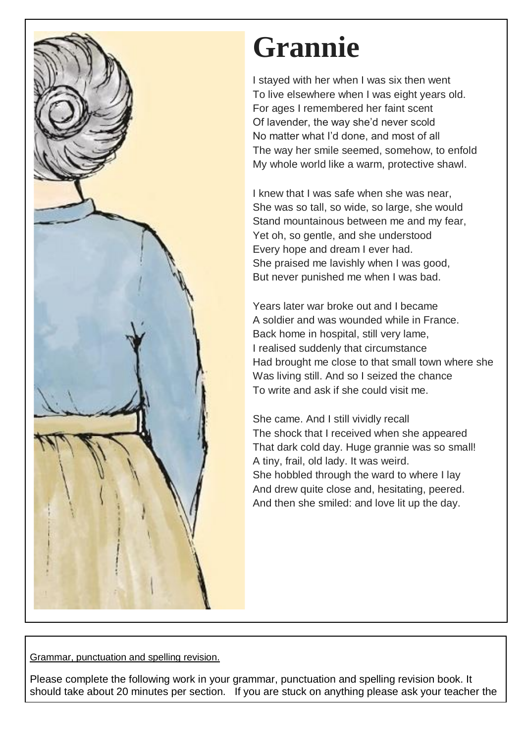

# **Grannie**

I stayed with her when I was six then went To live elsewhere when I was eight years old. For ages I remembered her faint scent Of lavender, the way she'd never scold No matter what I'd done, and most of all The way her smile seemed, somehow, to enfold My whole world like a warm, protective shawl.

I knew that I was safe when she was near, She was so tall, so wide, so large, she would Stand mountainous between me and my fear, Yet oh, so gentle, and she understood Every hope and dream I ever had. She praised me lavishly when I was good, But never punished me when I was bad.

Years later war broke out and I became A soldier and was wounded while in France. Back home in hospital, still very lame, I realised suddenly that circumstance Had brought me close to that small town where she Was living still. And so I seized the chance To write and ask if she could visit me.

She came. And I still vividly recall The shock that I received when she appeared That dark cold day. Huge grannie was so small! A tiny, frail, old lady. It was weird. She hobbled through the ward to where I lay And drew quite close and, hesitating, peered. And then she smiled: and love lit up the day.

Grammar, punctuation and spelling revision.

Please complete the following work in your grammar, punctuation and spelling revision book. It should take about 20 minutes per section. If you are stuck on anything please ask your teacher the